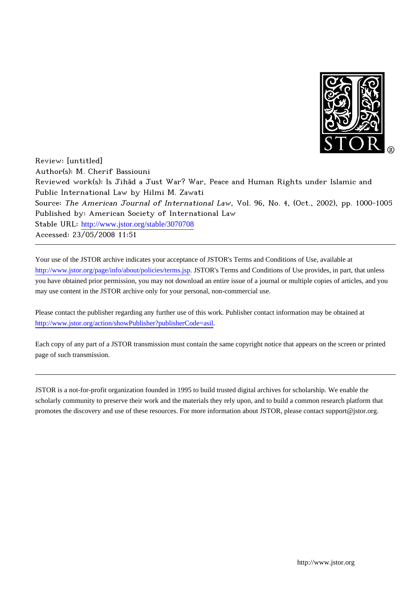

Review: [untitled] Author(s): M. Cherif Bassiouni Reviewed work(s): Is Jihād a Just War? War, Peace and Human Rights under Islamic and Public International Law by Hilmi M. Zawati Source: The American Journal of International Law, Vol. 96, No. 4, (Oct., 2002), pp. 1000-1005 Published by: American Society of International Law Stable URL: [http://www.jstor.org/stable/3070708](http://www.jstor.org/stable/3070708?origin=JSTOR-pdf) Accessed: 23/05/2008 11:51

Your use of the JSTOR archive indicates your acceptance of JSTOR's Terms and Conditions of Use, available at <http://www.jstor.org/page/info/about/policies/terms.jsp>. JSTOR's Terms and Conditions of Use provides, in part, that unless you have obtained prior permission, you may not download an entire issue of a journal or multiple copies of articles, and you may use content in the JSTOR archive only for your personal, non-commercial use.

Please contact the publisher regarding any further use of this work. Publisher contact information may be obtained at [http://www.jstor.org/action/showPublisher?publisherCode=asil.](http://www.jstor.org/action/showPublisher?publisherCode=asil)

Each copy of any part of a JSTOR transmission must contain the same copyright notice that appears on the screen or printed page of such transmission.

JSTOR is a not-for-profit organization founded in 1995 to build trusted digital archives for scholarship. We enable the scholarly community to preserve their work and the materials they rely upon, and to build a common research platform that promotes the discovery and use of these resources. For more information about JSTOR, please contact support@jstor.org.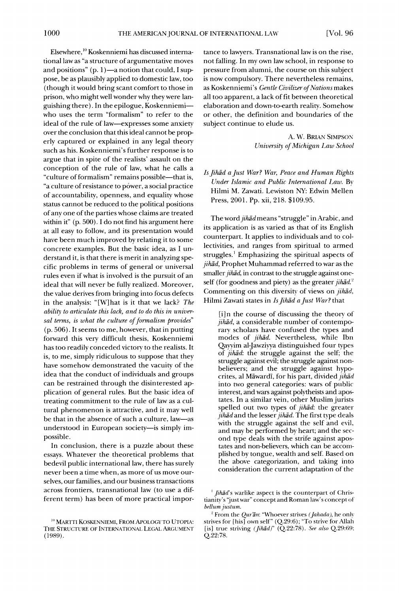**Elsewhere,"' Koskenniemi has discussed international law as "a structure of argumentative moves**  and positions" (p. 1)-a notion that could, I sup**pose, be as plausibly applied to domestic law, too (though it would bring scant comfort to those in prison, who might well wonder why they were languishing there). In the epilogue, Koskenniemiwho uses the term "formalism" to refer to the ideal of the rule of law-expresses some anxiety over the conclusion that this ideal cannot be properly captured or explained in any legal theory such as his. Koskenniemi's further response is to argue that in spite of the realists' assault on the conception of the rule of law, what he calls a**  "culture of formalism" remains possible-that is, **"a culture of resistance to power, a social practice of accountability, openness, and equality whose status cannot be reduced to the political positions of any one of the parties whose claims are treated within it" (p. 500). I do not find his argument here at all easy to follow, and its presentation would have been much improved by relating it to some concrete examples. But the basic idea, as I understand it, is that there is merit in analyzing specific problems in terms of general or universal rules even if what is involved is the pursuit of an ideal that will never be fully realized. Moreover, the value derives from bringing into focus defects in the analysis: "[W]hat is it that we lack? The ability to articulate this lack, and to do this in univer**sal terms, is what the culture of formalism provides" **(p. 506). It seems to me, however, that in putting forward this very difficult thesis, Koskenniemi has too readily conceded victory to the realists. It is, to me, simply ridiculous to suppose that they have somehow demonstrated the vacuity of the idea that the conduct of individuals and groups can be restrained through the disinterested application of general rules. But the basic idea of treating commitment to the rule of law as a cultural phenomenon is attractive, and it may well be that in the absence of such a culture, law-as**  understood in European society-is simply im**possible.** 

**In conclusion, there is a puzzle about these essays. Whatever the theoretical problems that bedevil public international law, there has surely never been a time when, as more of us move ourselves, our families, and our business transactions across frontiers, transnational law (to use a different term) has been of more practical impor-**  **tance to lawyers. Transnational law is on the rise, not falling. In my own law school, in response to pressure from alumni, the course on this subject is now compulsory. There nevertheless remains, as Koskenniemi's Gentle Civilizer of Nations makes all too apparent, a lack of fit between theoretical elaboration and down-to-earth reality. Somehow or other, the definition and boundaries of the subject continue to elude us.** 

> **A. W. BRIAN SIMPSON University of Michigan Law School**

**Is Jihad a Just War? War, Peace and Human Rights Under Islamic and Public International Law. By Hilmi M. Zawati. Lewiston NY: Edwin Mellen Press, 2001. Pp. xii, 218. \$109.95.** 

The word *jihad* means "struggle" in Arabic, and **its application is as varied as that of its English counterpart. It applies to individuals and to collectivities, and ranges from spiritual to armed struggles.1 Emphasizing the spiritual aspects of jihad, Prophet Muhammad referred to war as the**  smaller *jihad*, in contrast to the struggle against oneself (for goodness and piety) as the greater *jihad*.<sup>2</sup> Commenting on this diversity of views on *jihad*, Hilmi Zawati states in *Is Jihād a Just War?* that

**[i]n the course of discussing the theory of jihad, a considerable number of contemporary scholars have confused the types and modes of jihad. Nevertheless, while Ibn Qayyim al-Jawziyya distinguished four types of jihad: the struggle against the self; the struggle against evil; the struggle against nonbelievers; and the struggle against hypocrites, al Mawardi, for his part, divided jihad into two general categories: wars of public interest, and wars against polytheists and apostates. In a similar vein, other Muslim jurists spelled out two types of jihad: the greater**   $jih\bar{a}d$  and the lesser  $jih\bar{a}d$ . The first type deals **with the struggle against the self and evil, and may be performed by heart; and the second type deals with the strife against apostates and non-believers, which can be accomplished by tongue, wealth and self. Based on the above categorization, and taking into consideration the current adaptation of the** 

**<sup>&#</sup>x27;0 MARTTI KOSKENNIEMI, FROM APOLOGY TO UTOPIA:**  THE STRUCTURE OF INTERNATIONAL LEGAL ARGUMENT **(1989).** 

<sup>&</sup>lt;sup>1</sup> *Jihad's* warlike aspect is the counterpart of Chris**tianity's "justwar" concept and Roman law's concept of bellumjustum.** 

<sup>&</sup>lt;sup>2</sup> From the *Qur'an*: "Whoever strives (*Jahada*), he only **strives for [his] own self" (Q.29:6); "To strive for Allah [is] true striving (Jihad)" (Q.22:78). See also Q.29:69; Q.22:78.**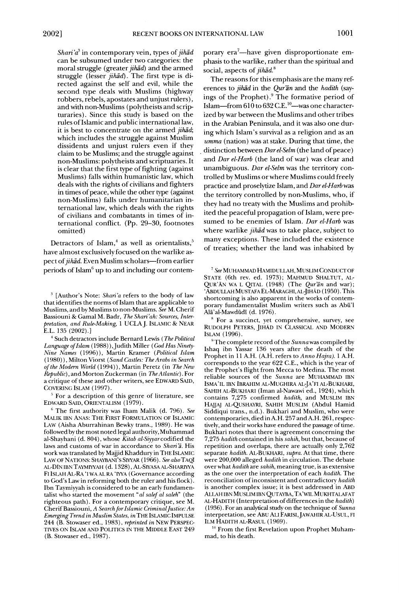Shari'a<sup>3</sup> in contemporary vein, types of *jihad* **can be subsumed under two categories: the moral struggle (greater jihad) and the armed**  struggle (lesser *jihad*). The first type is di**rected against the self and evil, while the second type deals with Muslims (highway robbers, rebels, apostates and unjust rulers), and with non-Muslims (polytheists and scripturaries). Since this study is based on the rules of Islamic and public international law, it is best to concentrate on the armed jihad; which includes the struggle against Muslim dissidents and unjust rulers even if they claim to be Muslims; and the struggle against non-Muslims: polytheists and scriptuaries. It is clear that the first type of fighting (against Muslims) falls within humanistic law, which deals with the rights of civilians and fighters in times of peace, while the other type (against non-Muslims) falls under humanitarian international law, which deals with the rights of civilians and combatants in times of international conflict. (Pp. 29-30, footnotes omitted)** 

Detractors of Islam,<sup>4</sup> as well as orientalists,<sup>5</sup> **have almost exclusively focused on the warlike as**pect of *jihad*. Even Muslim scholars-from earlier **periods of Islam6 up to and including our contem-**

**<sup>3</sup>[Author's Note: Shari'a refers to the body of law that identifies the norms of Islam that are applicable to Muslims, and by Muslims to non-Muslims. See M. Cherif Bassiouni & Gamal M. Badr, The Shari'ah: Sources, Interpretation, and Rule-Making, 1 UCLAJ. ISLAMIC & NEAR E.L. 135 (2002).]** 

**4 Such detractors include Bernard Lewis (The Political**  Language of Islam (1988)), Judith Miller (God Has Ninety-**Nine Names (1996)), Martin Kramer (Political Islam (1980)), Milton Viorst (Sand Castles: The Arabs in Search of the Modern World (1994)), Martin Peretz (in The New Republic), and Morton Zuckerman (in TheAtlantic). For a critique of these and other writers, see EDWARD SAID, COVERING ISLAM (1997).** 

**For a description of this genre of literature, see EDWARD SAID, ORIENTALISM (1979).** 

**6 The first authority was Iham Malik (d. 796). See MALIK IBN ANAS: THE FIRST FORMULATION OF ISLAMIC LAW (Aisha Aburrahinan Bewky trans., 1989). He was followed by the most noted legal authority, Muhammad al-Shayhani (d. 804), whose Kitab al-Siyyarcodified the laws and customs of war in accordance to Shari'a. His work was translated by Majjid Khaddury in THE ISLAMIC**  LAW OF NATIONS: SHAYBANI'S SIYYAR (1966). See also TAQI **AL-DIN IBN TAYMYYAH (d. 1328), AL-SIYASA AL-SHARIYYA FI ISLAH AL-RA 'I WA AL RA 'IYA (Governance according to God's Law in reforming both the ruler and his flock). Ibn Taymiyyah is considered to be an early fundamentalist who started the movement "al salefal saleh" (the righteous path). For a contemporary critique, see M. Cherif Bassiouni, A Search for Islamic Criminal Justice: An Emerging Trend in Muslim States, in THE ISLAMIC IMPULSE 244 (B. Stowaser ed., 1983), reprinted in NEW PERSPEC-TIVES ON ISLAM AND POLITICS IN THE MIDDLE EAST 249 (B. Stowaser ed., 1987).** 

**porary era7-have given disproportionate emphasis to the warlike, rather than the spiritual and social, aspects of jihad.8** 

**The reasons for this emphasis are the many ref**erences to *jihad* in the *Qur'an* and the *hadith* (say**ings of the Prophet).9 The formative period of**  Islam-from 610 to 632 C.E.<sup>10</sup>-was one character**ized by war between the Muslims and other tribes in the Arabian Peninsula, and it was also one during which Islam's survival as a religion and as an umma (nation) was at stake. During that time, the distinction between Darel-Selm (the land of peace) and Dar el-Harb (the land of war) was clear and unambiguous. Dar el-Selm was the territory controlled by Muslims or where Muslims could freely practice and proselytize Islam, and Dar el-Harb was the territory controlled by non-Muslims, who, if they had no treaty with the Muslims and prohibited the peaceful propagation of Islam, were presumed to be enemies of Islam. Dar el-Harb was**  where warlike *jihad* was to take place, subject to **many exceptions. These included the existence of treaties; whether the land was inhabited by** 

**7 See MUHAMMAD HAMIDULLAH, MUSLIM CONDUCT OF STATE (6th rev. ed. 1973); MAHMUD SHALTUT, AL-**QUR'AN WA L QITAL (1948) (The Qur'an and war); **'ABDULLAH MUSTAFA EL-MARAGHI,AL-JIHAD (1950). This shortcoming is also apparent in the works of contemporary fundamentalist Muslim writers such as Abu'l Ala'al-Mawdudi (d. 1976).** 

**8 For a succinct, yet comprehensive, survey, see RUDOLPH PETERS, JIHAD IN CLASSICAL AND MODERN ISLAM (1996).** 

**9 The complete record of the Sunna was compiled by Ishaq ibn Yassar 136 years after the death of the Prophet in 11 A.H. (A.H. refers to Anno Hajra). 1 A.H. corresponds to the year 622 C.E., which is the year of the Prophet's flight from Mecca to Medina. The most reliable sources of the Sunna are MUHAMMAD IBN ISMA'IL IBN IBRAHIM AL-MUGHIRA AL-JA'FI AL-BUKHARI, SAHIH AL-BUKHARI (Iman al-Nawawi ed., 1924), which contains 7,275 confirmed hadith, and MUSLIM IBN HAJJAJ AL-QUSHAYRI, SAHIH MUSLIM (Abdul Hamid Siddiqui trans., n.d.). Bukhari and Muslim, who were contemporaries, died in A.H. 257 and A.H. 261, respectively, and their works have endured the passage of time. Bukhari notes that there is agreement concerning the 7,275 hadith contained in his sahih, but that, because of repetition and overlaps, there are actually only 2,762 separate hadith. AL-BUKHARI, supra. At that time, there were 200,000 alleged hadith in circulation. The debate over what hadith are sahih, meaning true, is as extensive as the one over the interpretation of each hadith. The reconciliation of inconsistent and contradictory hadith is another complex issue; it is best addressed in ABD ALLAH IBN MUSLIM IBN QUTAYBA, TA'WIL MUKHTALAFAT AL-HADITH (Interpretation of differences in the hadith) (1936). For an analytical study on the technique of Sunna**  interpretation, see ABU ALI FARISI, JAWAHIR AL-USUL, FI **ILM HADITH AL-RASUL (1969).** 

<sup>10</sup> From the first Revelation upon Prophet Muham**mad, to his death.**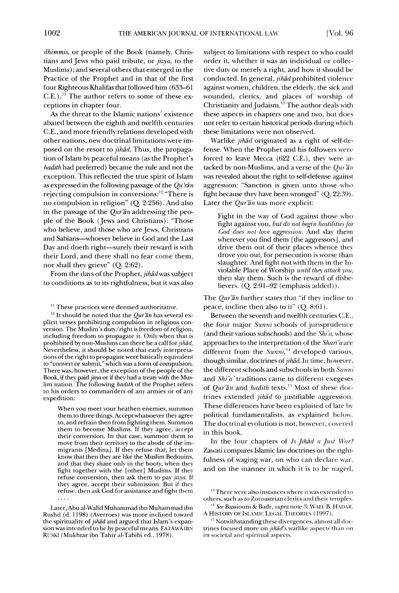**dhimmis, or people of the Book (namely, Christians and Jews who paid tribute, or jizya, to the Muslims); and several others that emerged in the Practice of the Prophet and in that of the first four Righteous Khalifas that followed him (633-61 C.E.)." The author refers to some of these exceptions in chapter four.** 

**As the threat to the Islamic nations' existence abated between the eighth and twelfth centuries C.E., and more friendly relations developed with other nations, new doctrinal limitations were imposed on the resort to jihad. Thus, the propagation of Islam by peaceful means (as the Prophet's hadith had preferred) became the rule and not the exception. This reflected the true spirit of Islam**  as expressed in the following passage of the Qu'ran **rejecting compulsion in conversions:12 "There is no compulsion in religion" (Q. 2:256). And also**  in the passage of the *Qur'an* addressing the peo**ple of the Book (Jews and Christians): "Those who believe, and those who are Jews, Christians and Sabians-whoever believe in God and the Last**  Day and doeth right-surely their reward is with **their Lord, and there shall no fear come them, nor shall they grieve" (Q. 2:62).** 

**From the days of the Prophet, jihadwas subject to conditions as to its rightfulness, but it was also** 

<sup>11</sup> These practices were deemed authoritative.

<sup>12</sup> It should be noted that the *Qur'an* has several ex**plicit verses prohibiting compulsion in religious conversion. The Muslim's duty/right is freedom of religion, including freedom to propagate it. Only when that is**  prohibited by non-Muslims can there be a call for *jihad*. **Nevertheless, it should be noted that early interpretations of the right to propagate were basically equivalent to "convert or submit," which was a form of compulsion. There was, however, the exception of the people of the Book, if they paid jizya or if they had a treaty with the Muslim nation. The following hadith of the Prophet refers to his orders to commanders of any armies or of any expedition:** 

**When you meet your heathen enemies, summon them to three things. Accept whatsoever they agree to, and refrain then from fighting them. Summon them to become Muslims. If they agree, accept their conversion. In that case, summon them to move from their territory to the abode of the immigrants [Medina]. If they refuse that, let them know that then they are like the Muslim Bedouins, and that they share only in the booty, when they fight together with the [other] Muslims. If they refuse conversion, then ask them to pay jizya. If they agree, accept their submission. But if they refuse, then ask God for assistance and fight them** 

**Later, Abu al-Walid Muhammad ibn Muhammad ibn Rushd (d. 1198) (Averroes) was more inclined toward the spirituality of jihad and argued that Islam's expansion was intended to be by peaceful means. FATAWA IBN RUSKI (Mukhtar ibn Tahir al-Tabibi ed., 1978).** 

**subject to limitations with respect to who could order it, whether it was an individual or collective duty or merely a right, and how it should be conducted. In general, jihad prohibited violence against women, children, the elderly, the sick and wounded, clerics, and places of worship of Christianity andJudaism.'3 The author deals with these aspects in chapters one and two, but does not refer to certain historical periods during which these limitations were not observed.** 

Warlike jihad originated as a right of self-de**fense. When the Prophet and his followers were forced to leave Mecca (622 C.E.), they were at**tacked by non-Muslims, and a verse of the *Qur'an* **was revealed about the right to self-defense against aggression: "Sanction is given unto those who fight because they have been wronged" (Q. 22:39).**  Later the *Qur'an* was more explicit:

**Fight in the way of God against those who fight against you, but do not begin hostilities for God does not love aggression. And slay them wherever you find them [the aggressors], and drive them out of their places whence they drove you out, for persecution is worse than slaughter. And fight not with them in the Inviolable Place of Worship until they attack you, then slay them. Such is the reward of disbelievers. (Q. 2:91-92 (emphasis added)).** 

**The Qur'an further states that "if they incline to peace, incline then also to it" (Q. 8:61).** 

**Between the seventh and twelfth centuries C.E., the four major Sunni schools of jurisprudence (and their various subschools) and the Shi'a, whose approaches to the interpretation of the Shari'a are**  different from the Sunni,<sup>14</sup> developed various, though similar, doctrines of *jihad*. In time, however, **the different schools and subschools in both Sunni and Shi'a' traditions came to different exegeses**  of *Qur'an* and *hadith* texts.<sup>15</sup> Most of these doc**trines extended jihad to justifiable aggression. These differences have been exploited of late by political fundamentalists, as explained below. The doctrinal evolution is not, however, covered in this book.** 

In the four chapters of Is Jihad a Just War? **Zawati compares Islamic law doctrines on the rightfulness of waging war, on who can declare war, and on the manner in which it is to be waged,** 

<sup>&</sup>lt;sup>13</sup> There were also instances where it was extended to **others, such as to Zoroastrian clerics and their temples.** 

<sup>&</sup>lt;sup>14</sup> See Bassiouni & Badr, supra note 3; WAEL B. HADAR, A HISTORY OF ISLAMIC LEGAL THEORIES (1997).

<sup>&</sup>lt;sup>15</sup> Notwithstanding these divergences, almost all doc**trines focused more on jihad's warlike aspects than on its societal and spiritual aspects.**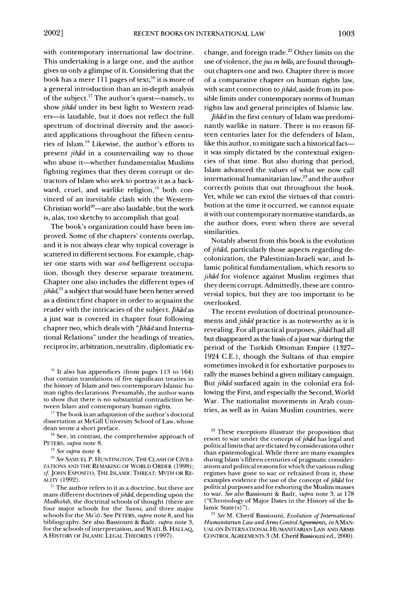**with contemporary international law doctrine. This undertaking is a large one, and the author gives us only a glimpse of it. Considering that the**  book has a mere 111 pages of text,<sup>16</sup> it is more of **a general introduction than an in-depth analysis of the subject.17 The author's quest-namely, to show jihad under its best light to Western readers-is laudable, but it does not reflect the full spectrum of doctrinal diversity and the associated applications throughout the fifteen centuries of Islam.'8 Likewise, the author's efforts to present jihad in a countervailing way to those who abuse it-whether fundamentalist Muslims fighting regimes that they deem corrupt or detractors of Islam who seek to portray it as a back**ward, cruel, and warlike religion,<sup>19</sup> both con**vinced of an inevitable clash with the Western-**Christian world<sup>20</sup>—are also laudable, but the work **is, alas, too sketchy to accomplish that goal.** 

**The book's organization could have been improved. Some of the chapters' contents overlap, and it is not always clear why topical coverage is scattered in different sections. For example, chapter one starts with war and belligerent occupation, though they deserve separate treatment. Chapter one also includes the different types of jihad,2' a subject that would have been better served as a distinct first chapter in order to acquaint the reader with the intricacies of the subject. Jihad as a just war is covered in chapter four following chapter two, which deals with "Jihad and International Relations" under the headings of treaties, reciprocity, arbitration, neutrality, diplomatic ex-**

**<sup>16</sup>It also has appendices (from pages 113 to 164) that contain translations of five significant treaties in the history of Islam and two contemporary Islamic human rights declarations. Presumably, the author wants to show that there is no substantial contradiction between Islam and contemporary human rights.** 

**<sup>17</sup>The book is an adaptation of the author's doctoral dissertation at McGill University School of Law, whose dean wrote a short preface.** 

**<sup>18</sup>See, in contrast, the comprehensive approach of PETERS, supra note 8.** 

**19 See supra note 4.** 

**20 See SAMUEL P. HUNTINGTON, THE CLASH OF CIVILI-ZATIONS AND THE REMAKING OF WORLD ORDER (1998);**  cf. JOHN ESPOSITO, THE ISLAMIC THREAT: MYTH OR RE-**ALITY (1992).** 

**change, and foreign trade.22 Other limits on the use of violence, the jus in bello, are found throughout chapters one and two. Chapter three is more of a comparative chapter on human rights law, with scant connection to jihad, aside from its possible limits under contemporary norms of human rights law and general principles of Islamic law.** 

**Jihad in the first century of Islam was predominantly warlike in nature. There is no reason fifteen centuries later for the defenders of Islam,**  like this author, to mitigate such a historical fact**it was simply dictated by the contextual exigencies of that time. But also during that period, Islam advanced the values of what we now call international humanitarian law,23 and the author correctly points that out throughout the book. Yet, while we can extol the virtues of that contribution at the time it occurred, we cannot equate itwith our contemporary normative standards, as the author does, even when there are several similarities.** 

**Notably absent from this book is the evolution of jihd, particularly those aspects regarding decolonization, the Palestinian-Israeli war, and Islamic political fundamentalism, which resorts to jihad for violence against Muslim regimes that they deem corrupt. Admittedly, these are controversial topics, but they are too important to be overlooked.** 

**The recent evolution of doctrinal pronouncements and jihad practice is as noteworthy as it is revealing. For all practical purposes, jihad had all but disappeared as the basis of ajust war during the period of the Turkish Ottoman Empire (1327- 1924 C.E.), though the Sultans of that empire sometimes invoked it for exhortative purposes to rally the masses behind a given military campaign. But jihad surfaced again in the colonial era following the First, and especially the Second, World War. The nationalist movements in Arab countries, as well as in Asian Muslim countries, were** 

**<sup>21</sup>The author refers to it as a doctrine, but there are**  many different doctrines of *jihad*, depending upon the **Madhahib, the doctrinal schools of thought (there are four major schools for the Sunni, and three major schools for the Shi'a). See PETERS, supra note 8, and his bibliography. See also Bassiouni & Badr, supra note 3, for the schools of interpretation, and WAEL B. HALLAQ, A HISTORY OF ISLAMIC LEGAL THEORIES (1997).** 

**<sup>22</sup>These exceptions illustrate the proposition that resort to war under the concept of jihad has legal and political limits that are dictated by considerations other than epistemological. While there are many examples during Islam's fifteen centuries of pragmatic considerations and political reasons for which the various ruling regimes have gone to war or refrained from it, these examples evidence the use of the concept of jihad for political purposes and for exhorting the Muslim masses to war. See also Bassiouni & Badr, supra note 3, at 178 ("Chronology of Major Dates in the History of the Islamic State(s)").** 

**<sup>23</sup>See M. Cherif Bassiouni, Evolution of International Humanitarian Law andArms ControlAgreements, inAMAN-UAL ON INTERNATIONAL. HUMANITARIAN LAW AND ARMS CONTROL AGREEMENTS 3 (M. CherifBassiouni ed., 2000).**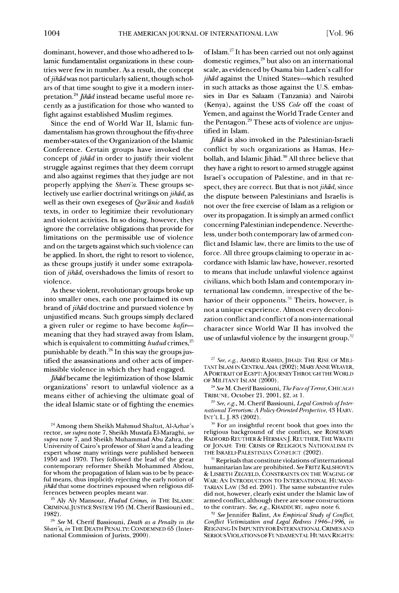**dominant, however, and those who adhered to Islamic fundamentalist organizations in these countries were few in number. As a result, the concept**  of *jihad* was not particularly salient, though schol**ars of that time sought to give it a modern inter**pretation.<sup>24</sup> *Jihad* instead became useful more re**cently as ajustification for those who wanted to fight against established Muslim regimes.** 

**Since the end of World War II, Islamic fundamentalism has grown throughout the fifty-three member-states of the Organization of the Islamic Conference. Certain groups have invoked the concept of jihad in order to justify their violent struggle against regimes that they deem corrupt and also against regimes that they judge are not properly applying the Shari'a. These groups selectively use earlier doctrinal writings on jihad, as**  well as their own exegeses of Qur'anic and hadith **texts, in order to legitimize their revolutionary and violent activities. In so doing, however, they ignore the correlative obligations that provide for limitations on the permissible use of violence and on the targets against which such violence can be applied. In short, the right to resort to violence, as these groups justify it under some extrapolation of jihad, overshadows the limits of resort to violence.** 

**As these violent, revolutionary groups broke up into smaller ones, each one proclaimed its own brand of jihad doctrine and pursued violence by unjustified means. Such groups simply declared a given ruler or regime to have become kafirmeaning that they had strayed away from Islam,**  which is equivalent to committing *hudud* crimes,<sup>25</sup> punishable by death.<sup>26</sup> In this way the groups jus**tified the assassinations and other acts of impermissible violence in which they had engaged.** 

**Jihad became the legitimization of those Islamic organizations' resort to unlawful violence as a means either of achieving the ultimate goal of the ideal Islamic state or of fighting the enemies** 

**<sup>25</sup>Aly Aly Mansour, Hudud Crimes, in THE ISLAMIC CRIMINALJUSTICE SYSTEM 195 (M. CherifBassiouni ed., 1982).** 

**of Islam.27 It has been carried out not only against domestic regimes,28 but also on an international scale, as evidenced by Osama bin Laden's call for jihad against the United States-which resulted in such attacks as those against the U.S. embassies in Dar es Salaam (Tanzania) and Nairobi (Kenya), against the USS Cole off the coast of Yemen, and against the World Trade Center and the Pentagon.29 These acts of violence are unjustified in Islam.** 

**Jihad is also invoked in the Palestinian-Israeli conflict by such organizations as Hamas, Hez**bollah, and Islamic Jihad.<sup>30</sup> All three believe that **they have a right to resort to armed struggle against Israel's occupation of Palestine, and in that respect, they are correct. But that is not jihad, since the dispute between Palestinians and Israelis is not over the free exercise of Islam as a religion or over its propagation. It is simply an armed conflict concerning Palestinian independence. Nevertheless, under both contemporary law of armed conflict and Islamic law, there are limits to the use of force. All three groups claiming to operate in accordance with Islamic law have, however, resorted to means that include unlawful violence against civilians, which both Islam and contemporary international law condemn, irrespective of the behavior of their opponents.31 Theirs, however, is not a unique experience. Almost every decolonization conflict and conflict of a non-international character since World War II has involved the**  use of unlawful violence by the insurgent group,<sup>32</sup>

**29 See, e.g., M. Cherif Bassiouni, Legal Controls of International Terrorism: A Policy-Oriented Perspective, 43 HARV. INT'L L.J. 83 (2002).** 

**:0 For an insightful recent book that goes into the**  religious background of the conflict, see ROSEMARY **RADFORD REUTHER & HERMANJ. REUTHER, THE WRATH OF JONAH: THE CRISIS OF RELIGIOUS NATIONALISM IN THE ISRAELI-PALESTINIAN CONFLICT (2002).** 

 $31$  Reprisals that constitute violations of international **humanitarian law are prohibited. See FRITZ KALSHOVEN & LISBETH ZEGVELD, CONSTRAINTS ON THE WAGING OF WAR: AN INTRODUCTION TO INTERNATIONAL HUMANI-TARIAN LAW (3d ed. 2001). The same substantive rules did not, however, clearly exist under the Islamic law of armed conflict, although there are some constructions to the contrary. See, e.g., KHADDURY, supra note 6.** 

**<sup>32</sup>SeeJennifer Balint, An Empirical Study of Conflict, Conflict Victimization and Legal Redress 1946-1996, in REIGNING IN IMPUNITY FOR INTERNATIONAL CRIMES AND SERIOUSVIOLATIONS OF FUNDAMENTAL HUMAN RIGHTS:** 

**<sup>24</sup> Among them Sheikh Mahmud Shaltut, Al-Azhar's rector, see supra note 7, Sheikh Mustafa El-Maraghi, see supra note 7, and Sheikh Muhammad Abu Zahra, the University of Cairo's professor of Shari 'a and a leading expert whose many writings were published between 1950 and 1970. They followed the lead of the great contemporary reformer Sheikh Mohammed Abdou, for whom the propagation of Islam was to be by peaceful means, thus implicitly rejecting the early notion of jihad that some doctrines espoused when religious differences between peoples meant war.** 

**<sup>26</sup>See M. Cherif Bassiouni, Death as a Penalty in the**  Shari'a, in THE DEATH PENALTY: CONDEMNED 65 (International Commission of Jurists, 2000).

<sup>&</sup>lt;sup>27</sup> See, e.g., AHMED RASHID, JIHAD: THE RISE OF MILI-**TANT ISLAM IN CENTRAL ASIA (2002); MARYANNE WEAVER, A PORTRAIT OF EGYPT: AJOURNEYTHROUGH THE WORLD**  OF MILITANT ISLAM (2000).

**<sup>2&</sup>quot; See M. CherifBassiouni, The Face of Terror, CHICAGO TRIBUNE, October 21, 2001, §2, at 1.**